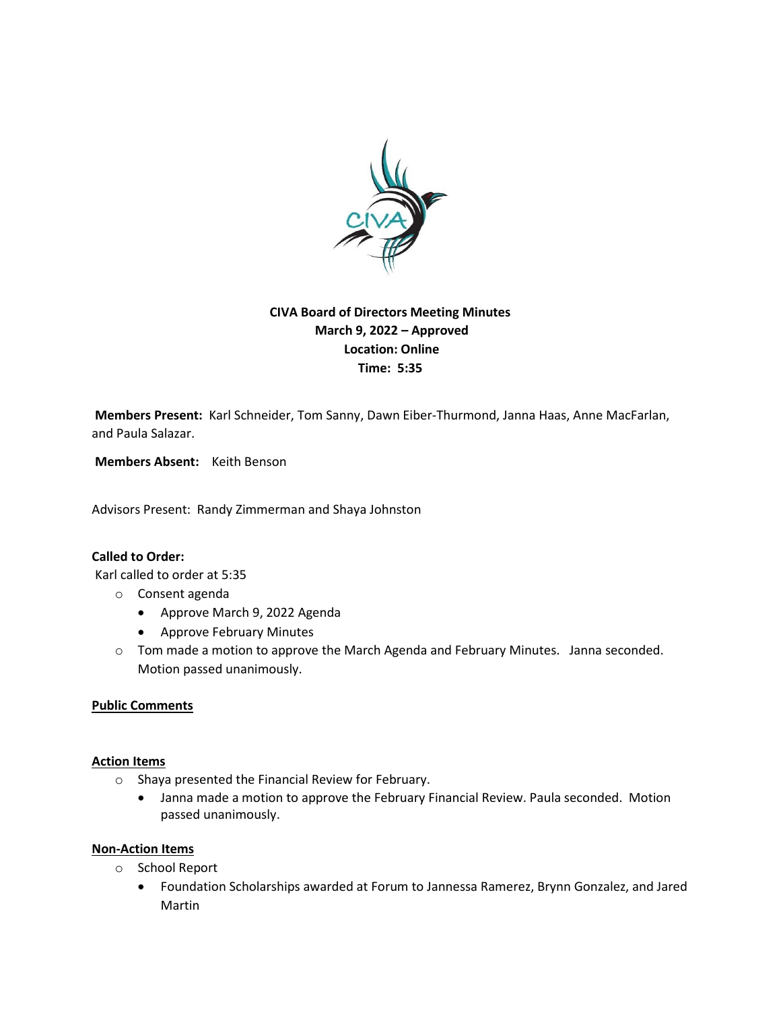

# **CIVA Board of Directors Meeting Minutes March 9, 2022 – Approved Location: Online Time: 5:35**

**Members Present:** Karl Schneider, Tom Sanny, Dawn Eiber-Thurmond, Janna Haas, Anne MacFarlan, and Paula Salazar.

**Members Absent:** Keith Benson

Advisors Present: Randy Zimmerman and Shaya Johnston

## **Called to Order:**

Karl called to order at 5:35

- o Consent agenda
	- Approve March 9, 2022 Agenda
	- Approve February Minutes
- o Tom made a motion to approve the March Agenda and February Minutes. Janna seconded. Motion passed unanimously.

#### **Public Comments**

#### **Action Items**

- o Shaya presented the Financial Review for February.
	- Janna made a motion to approve the February Financial Review. Paula seconded. Motion passed unanimously.

### **Non-Action Items**

- o School Report
	- Foundation Scholarships awarded at Forum to Jannessa Ramerez, Brynn Gonzalez, and Jared Martin